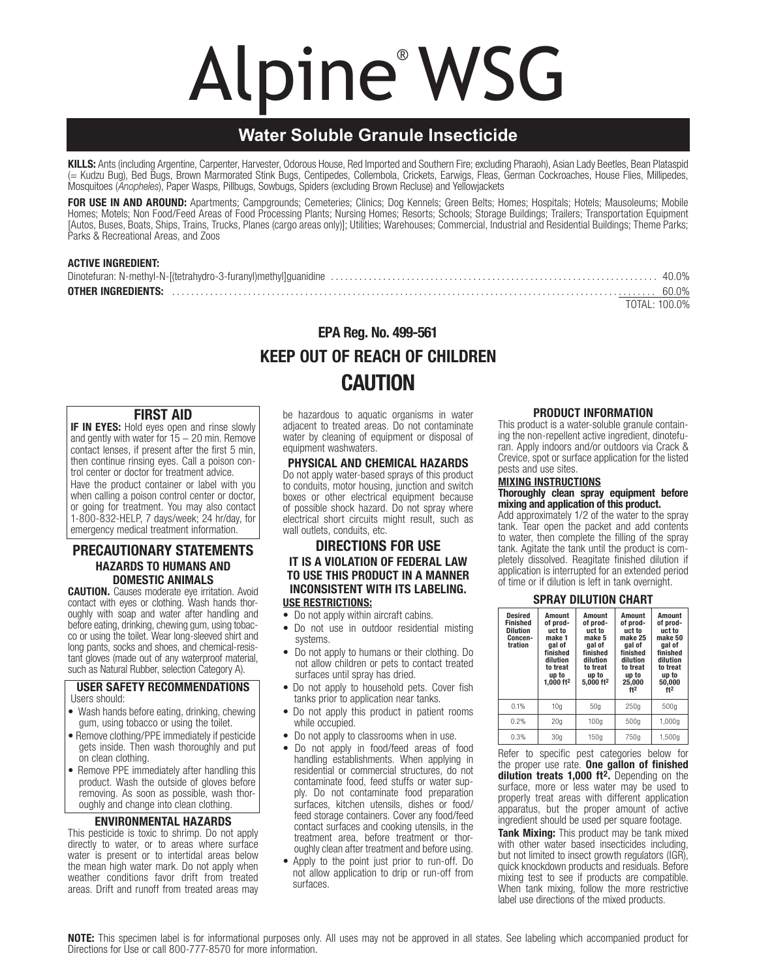# Alpine® WSG

## **Water Soluble Granule Insecticide**

KILLS: Ants (including Argentine, Carpenter, Harvester, Odorous House, Red Imported and Southern Fire; excluding Pharaoh), Asian Lady Beetles, Bean Plataspid 1111, The Rudzu Bugs, Brown Marmorated Stink Bugs, Centipedes, Collembola, Crickets, Earwigs, Fleas, German Cockroaches, House Flies, Millipedes, Mosquitoes (Anopheles), Paper Wasps, Pillbugs, Sowbugs, Spiders (excluding Brown Recluse) and Yellowjackets

FOR USE IN AND AROUND: Apartments; Campgrounds; Cemeteries; Clinics; Dog Kennels; Green Belts; Homes; Hospitals; Hotels; Mausoleums; Mobile Homes; Motels; Non Food/Feed Areas of Food Processing Plants; Nursing Homes; Resorts; Schools; Storage Buildings; Trailers; Transportation Equipment [Autos, Buses, Boats, Ships, Trains, Trucks, Planes (cargo areas only)]; Utilities; Warehouses; Commercial, Industrial and Residential Buildings; Theme Parks; Parks & Recreational Areas, and Zoos

| <b>ACTIVE INGREDIENT:</b> |  |  |
|---------------------------|--|--|
|---------------------------|--|--|

| TOTAL: 100.0% |  |
|---------------|--|

## EPA Reg. No. 499-561 KEEP OUT OF REACH OF CHILDREN **CAUTION**

#### FIRST AID

**IF IN EYES:** Hold eyes open and rinse slowly and gently with water for 15 − 20 min. Remove contact lenses, if present after the first 5 min, then continue rinsing eyes. Call a poison control center or doctor for treatment advice.

Have the product container or label with you when calling a poison control center or doctor, or going for treatment. You may also contact 1-800-832-HELP, 7 days/week; 24 hr/day, for emergency medical treatment information.

#### PRECAUTIONARY STATEMENTS HAZARDS TO HUMANS AND DOMESTIC ANIMALS

CAUTION. Causes moderate eye irritation. Avoid contact with eyes or clothing. Wash hands thoroughly with soap and water after handling and before eating, drinking, chewing gum, using tobacco or using the toilet. Wear long-sleeved shirt and long pants, socks and shoes, and chemical-resistant gloves (made out of any waterproof material, such as Natural Rubber, selection Category A).

#### USER SAFETY RECOMMENDATIONS Users should:

- Wash hands before eating, drinking, chewing gum, using tobacco or using the toilet.
- Remove clothing/PPE immediately if pesticide gets inside. Then wash thoroughly and put on clean clothing.
- Remove PPE immediately after handling this product. Wash the outside of gloves before removing. As soon as possible, wash thoroughly and change into clean clothing.

#### ENVIRONMENTAL HAZARDS

This pesticide is toxic to shrimp. Do not apply directly to water, or to areas where surface water is present or to intertidal areas below the mean high water mark. Do not apply when weather conditions favor drift from treated areas. Drift and runoff from treated areas may be hazardous to aquatic organisms in water adjacent to treated areas. Do not contaminate water by cleaning of equipment or disposal of equipment washwaters.

#### PHYSICAL AND CHEMICAL HAZARDS

Do not apply water-based sprays of this product to conduits, motor housing, junction and switch boxes or other electrical equipment because of possible shock hazard. Do not spray where electrical short circuits might result, such as wall outlets, conduits, etc.

#### DIRECTIONS FOR USE IT IS A VIOLATION OF FEDERAL LAW TO USE THIS PRODUCT IN A MANNER INCONSISTENT WITH ITS LABELING. USE RESTRICTIONS:

- Do not apply within aircraft cabins.
- Do not use in outdoor residential misting systems.
- Do not apply to humans or their clothing. Do not allow children or pets to contact treated surfaces until spray has dried.
- Do not apply to household pets. Cover fish tanks prior to application near tanks.
- Do not apply this product in patient rooms while occupied.
- Do not apply to classrooms when in use.
- Do not apply in food/feed areas of food handling establishments. When applying in residential or commercial structures, do not contaminate food, feed stuffs or water sup- ply. Do not contaminate food preparation surfaces, kitchen utensils, dishes or food/ feed storage containers. Cover any food/feed contact surfaces and cooking utensils, in the treatment area, before treatment or thoroughly clean after treatment and before using.
- Apply to the point just prior to run-off. Do not allow application to drip or run-off from surfaces.

#### PRODUCT INFORMATION

This product is a water-soluble granule containing the non-repellent active ingredient, dinotefuran. Apply indoors and/or outdoors via Crack & Crevice, spot or surface application for the listed pests and use sites.

#### MIXING INSTRUCTIONS

#### Thoroughly clean spray equipment before mixing and application of this product.

Add approximately 1/2 of the water to the spray tank. Tear open the packet and add contents to water, then complete the filling of the spray tank. Agitate the tank until the product is completely dissolved. Reagitate finished dilution if application is interrupted for an extended period of time or if dilution is left in tank overnight.

| <b>Desired</b><br><b>Finished</b><br><b>Dilution</b><br>Concen-<br>tration | Amount<br>of prod-<br>uct to<br>make 1<br>gal of<br>finished<br>dilution<br>to treat<br>up to<br>$1.000$ ft <sup>2</sup> | Amount<br>of prod-<br>uct to<br>make 5<br>gal of<br>finished<br>dilution<br>to treat<br>up to<br>5.000 ft <sup>2</sup> | Amount<br>of prod-<br>uct to<br>make 25<br>gal of<br>finished<br>dilution<br>to treat<br>up to<br>25.000<br>ft2 | Amount<br>of prod-<br>uct to<br>make 50<br>gal of<br>finished<br>dilution<br>to treat<br>up to<br>50.000<br>ft2 |  |  |  |
|----------------------------------------------------------------------------|--------------------------------------------------------------------------------------------------------------------------|------------------------------------------------------------------------------------------------------------------------|-----------------------------------------------------------------------------------------------------------------|-----------------------------------------------------------------------------------------------------------------|--|--|--|
| 0.1%                                                                       | 10q                                                                                                                      | 50q                                                                                                                    | 250q                                                                                                            | 500g                                                                                                            |  |  |  |
| 0.2%                                                                       | 20 <sub>q</sub>                                                                                                          | 100q                                                                                                                   | 500g                                                                                                            | 1.000a                                                                                                          |  |  |  |
| 0.3%                                                                       | 30 <sub>q</sub>                                                                                                          | 150a                                                                                                                   | 750a                                                                                                            | 1.500a                                                                                                          |  |  |  |

Refer to specific pest categories below for the proper use rate. **One gallon of finished** dilution treats 1,000 ft<sup>2</sup>. Depending on the

surface, more or less water may be used to properly treat areas with different application apparatus, but the proper amount of active ingredient should be used per square footage.

Tank Mixing: This product may be tank mixed with other water based insecticides including, but not limited to insect growth regulators (IGR), quick knockdown products and residuals. Before mixing test to see if products are compatible. When tank mixing, follow the more restrictive label use directions of the mixed products.

#### SPRAY DILUTION CHART